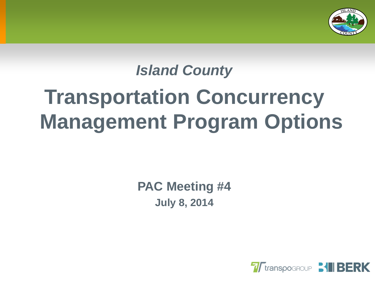

# *Island County* **Transportation Concurrency Management Program Options**

**PAC Meeting #4 July 8, 2014**

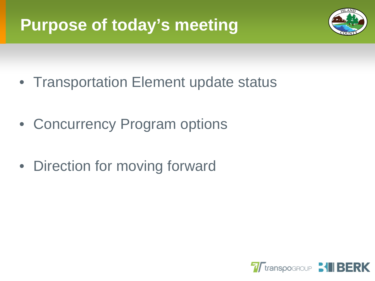# **Purpose of today's meeting**



- Transportation Element update status
- Concurrency Program options
- Direction for moving forward

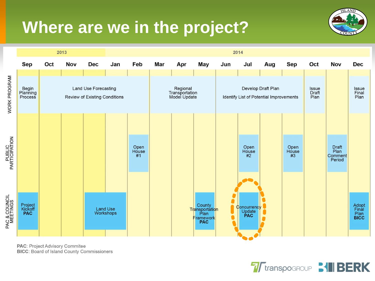### **Where are we in the project?**





PAC: Project Advisory Commitee **BICC: Board of Island County Commissioners** 

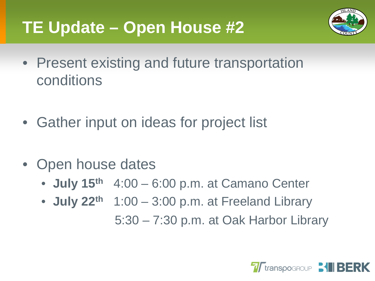# **TE Update – Open House #2**



- Present existing and future transportation conditions
- Gather input on ideas for project list
- Open house dates
	- **July 15th** 4:00 6:00 p.m. at Camano Center
	- **July 22th** 1:00 3:00 p.m. at Freeland Library 5:30 – 7:30 p.m. at Oak Harbor Library

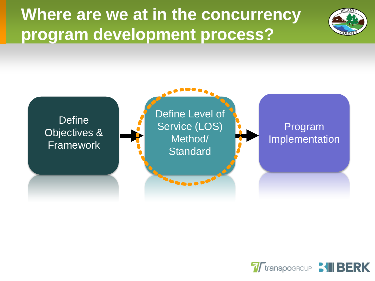**Where are we at in the concurrency program development process?**





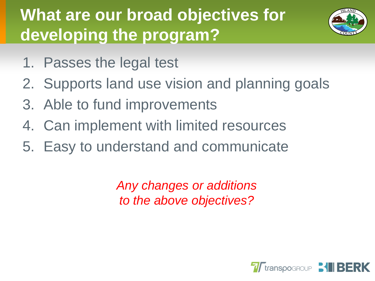# **What are our broad objectives for developing the program?**



- 1. Passes the legal test
- 2. Supports land use vision and planning goals
- 3. Able to fund improvements
- 4. Can implement with limited resources
- 5. Easy to understand and communicate

*Any changes or additions to the above objectives?*

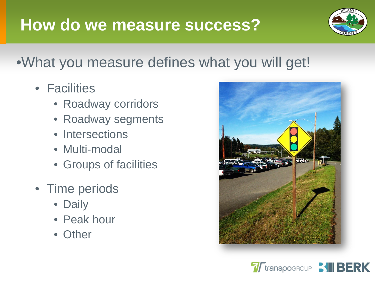#### **How do we measure success?**



#### •What you measure defines what you will get!

- Facilities
	- Roadway corridors
	- Roadway segments
	- Intersections
	- Multi-modal
	- Groups of facilities
- Time periods
	- Daily
	- Peak hour
	- Other



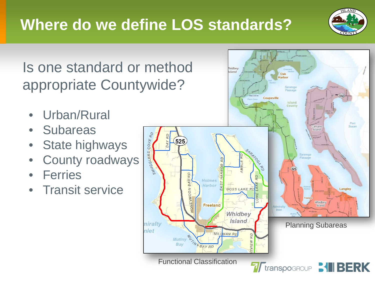

Is one standard or method appropriate Countywide?

- Urban/Rural
- Subareas
- State highways
- County roadways
- **Ferries**
- Transit service

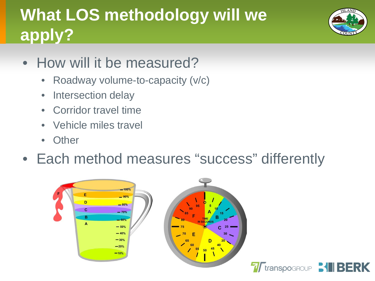# **What LOS methodology will we apply?**



- How will it be measured?
	- Roadway volume-to-capacity (v/c)
	- Intersection delay
	- Corridor travel time
	- Vehicle miles travel
	- **Other**
- Each method measures "success" differently



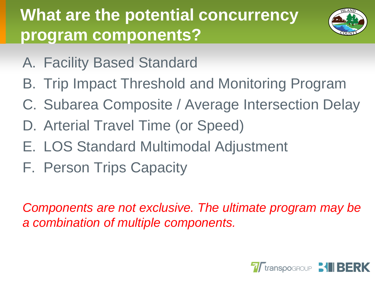# **What are the potential concurrency program components?**



- A. Facility Based Standard
- B. Trip Impact Threshold and Monitoring Program
- C. Subarea Composite / Average Intersection Delay
- D. Arterial Travel Time (or Speed)
- E. LOS Standard Multimodal Adjustment
- F. Person Trips Capacity

*Components are not exclusive. The ultimate program may be a combination of multiple components.*

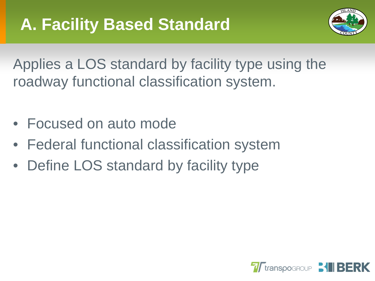

Applies a LOS standard by facility type using the roadway functional classification system.

- Focused on auto mode
- Federal functional classification system
- Define LOS standard by facility type

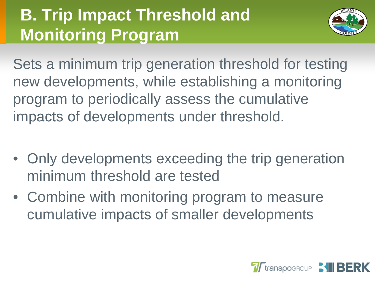# **B. Trip Impact Threshold and Monitoring Program**



Sets a minimum trip generation threshold for testing new developments, while establishing a monitoring program to periodically assess the cumulative impacts of developments under threshold.

- Only developments exceeding the trip generation minimum threshold are tested
- Combine with monitoring program to measure cumulative impacts of smaller developments

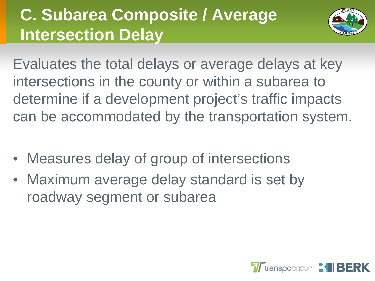# **C. Subarea Composite / Average Intersection Delay**



Evaluates the total delays or average delays at key intersections in the county or within a subarea to determine if a development project's traffic impacts can be accommodated by the transportation system.

- Measures delay of group of intersections
- Maximum average delay standard is set by roadway segment or subarea

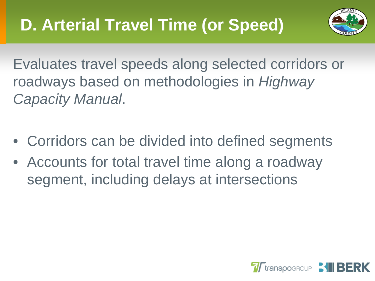

Evaluates travel speeds along selected corridors or roadways based on methodologies in *Highway Capacity Manual*.

- Corridors can be divided into defined segments
- Accounts for total travel time along a roadway segment, including delays at intersections

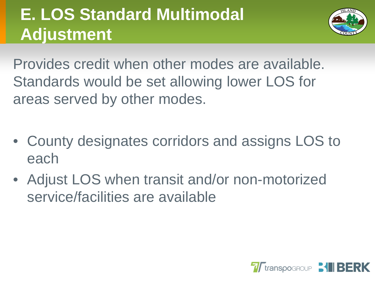# **E. LOS Standard Multimodal Adjustment**



Provides credit when other modes are available. Standards would be set allowing lower LOS for areas served by other modes.

- County designates corridors and assigns LOS to each
- Adjust LOS when transit and/or non-motorized service/facilities are available

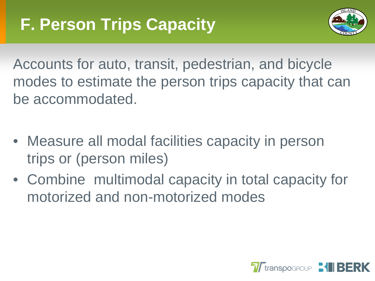

Accounts for auto, transit, pedestrian, and bicycle modes to estimate the person trips capacity that can be accommodated.

- Measure all modal facilities capacity in person trips or (person miles)
- Combine multimodal capacity in total capacity for motorized and non-motorized modes

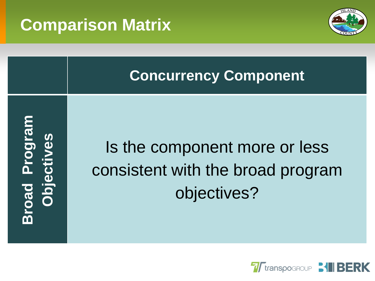### **Comparison Matrix**



#### **Concurrency Component**

**Broad Program**  road Program **biectives Objectives**

# Is the component more or less consistent with the broad program objectives?

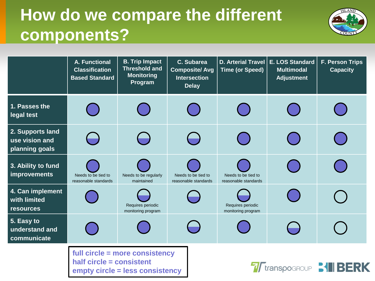# **How do we compare the different components?**



|                                                      | A. Functional<br><b>Classification</b><br><b>Based Standard</b>  | <b>B. Trip Impact</b><br><b>Threshold and</b><br><b>Monitoring</b><br>Program | C. Subarea<br><b>Composite/Avg</b><br><b>Intersection</b><br><b>Delay</b> | D. Arterial Travel<br><b>Time (or Speed)</b> | E. LOS Standard<br><b>Multimodal</b><br><b>Adjustment</b> | F. Person Trips<br><b>Capacity</b> |
|------------------------------------------------------|------------------------------------------------------------------|-------------------------------------------------------------------------------|---------------------------------------------------------------------------|----------------------------------------------|-----------------------------------------------------------|------------------------------------|
| 1. Passes the<br>legal test                          |                                                                  |                                                                               |                                                                           |                                              |                                                           |                                    |
| 2. Supports land<br>use vision and<br>planning goals |                                                                  |                                                                               |                                                                           |                                              |                                                           |                                    |
| 3. Ability to fund<br><b>improvements</b>            | Needs to be tied to<br>reasonable standards                      | Needs to be regularly<br>maintained                                           | Needs to be tied to<br>reasonable standards                               | Needs to be tied to<br>reasonable standards  |                                                           |                                    |
| 4. Can implement<br>with limited<br>resources        |                                                                  | Requires periodic<br>monitoring program                                       |                                                                           | Requires periodic<br>monitoring program      |                                                           |                                    |
| 5. Easy to<br>understand and<br>communicate          |                                                                  |                                                                               |                                                                           |                                              |                                                           |                                    |
|                                                      | full circle = more consistency<br>half circle = consistent<br>—— |                                                                               |                                                                           |                                              |                                                           |                                    |

**empty circle = less consistency**

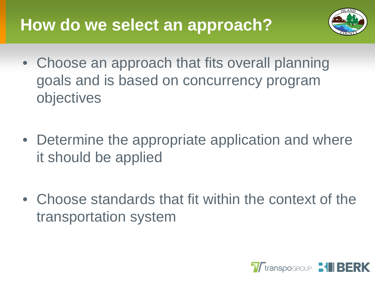### **How do we select an approach?**



- Choose an approach that fits overall planning goals and is based on concurrency program objectives
- Determine the appropriate application and where it should be applied
- Choose standards that fit within the context of the transportation system

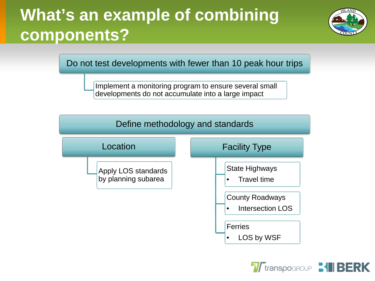# **What's an example of combining components?**



Do not test developments with fewer than 10 peak hour trips

Implement a monitoring program to ensure several small developments do not accumulate into a large impact



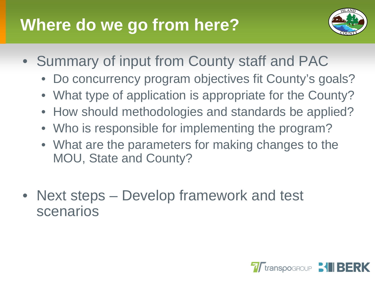# **Where do we go from here?**



- Summary of input from County staff and PAC
	- Do concurrency program objectives fit County's goals?
	- What type of application is appropriate for the County?
	- How should methodologies and standards be applied?
	- Who is responsible for implementing the program?
	- What are the parameters for making changes to the MOU, State and County?
- Next steps Develop framework and test scenarios